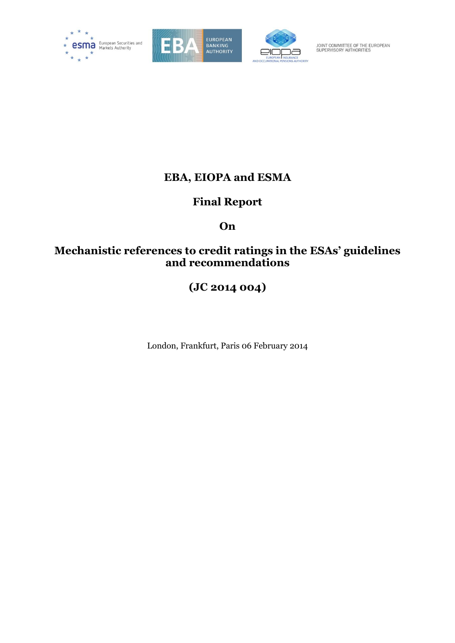





JOINT COMMITTEE OF THE EUROPEAN<br>SUPERVISORY AUTHORITIES

## **EBA, EIOPA and ESMA**

# **Final Report**

# **On**

## **Mechanistic references to credit ratings in the ESAs' guidelines and recommendations**

# **(JC 2014 004)**

London, Frankfurt, Paris 06 February 2014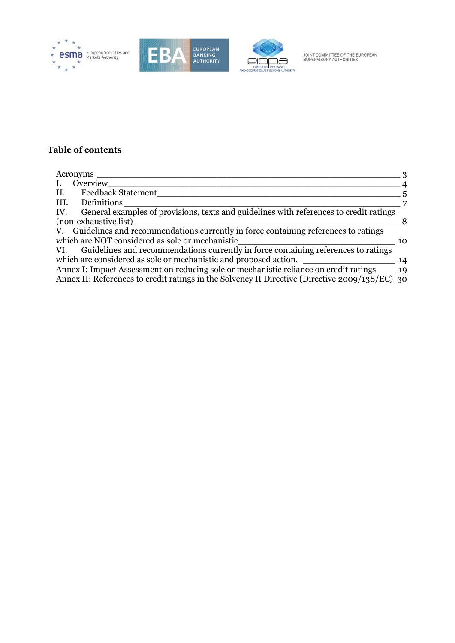





## **Table of contents**

| Acronyms                                                                                       | ્વ             |
|------------------------------------------------------------------------------------------------|----------------|
| Overview                                                                                       | $\overline{4}$ |
| Feedback Statement<br>II.                                                                      | .5             |
| III. Definitions                                                                               |                |
| IV. General examples of provisions, texts and guidelines with references to credit ratings     |                |
| (non-exhaustive list)                                                                          | 8              |
| V. Guidelines and recommendations currently in force containing references to ratings          |                |
| which are NOT considered as sole or mechanistic                                                | 10             |
| VI. Guidelines and recommendations currently in force containing references to ratings         |                |
| which are considered as sole or mechanistic and proposed action.                               | -14            |
| Annex I: Impact Assessment on reducing sole or mechanistic reliance on credit ratings _____ 19 |                |
| Annex II: References to credit ratings in the Solvency II Directive (Directive 2009/138/EC) 30 |                |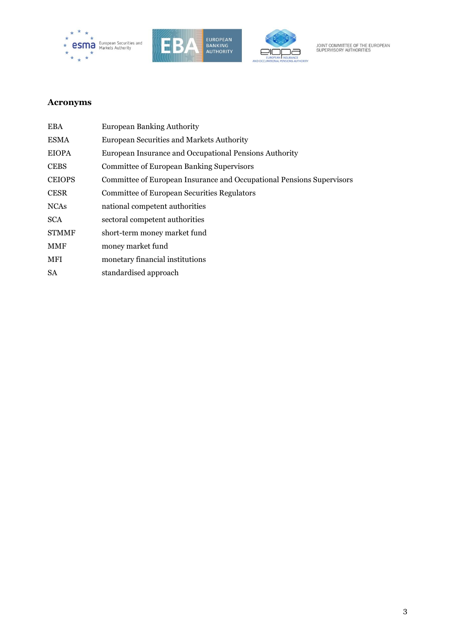





## <span id="page-2-0"></span>**Acronyms**

| <b>EBA</b>    | <b>European Banking Authority</b>                                     |
|---------------|-----------------------------------------------------------------------|
| <b>ESMA</b>   | European Securities and Markets Authority                             |
| <b>EIOPA</b>  | European Insurance and Occupational Pensions Authority                |
| <b>CEBS</b>   | <b>Committee of European Banking Supervisors</b>                      |
| <b>CEIOPS</b> | Committee of European Insurance and Occupational Pensions Supervisors |
| <b>CESR</b>   | <b>Committee of European Securities Regulators</b>                    |
| <b>NCAs</b>   | national competent authorities                                        |
| <b>SCA</b>    | sectoral competent authorities                                        |
| <b>STMMF</b>  | short-term money market fund                                          |
| <b>MMF</b>    | money market fund                                                     |
| MFI           | monetary financial institutions                                       |
| <b>SA</b>     | standardised approach                                                 |
|               |                                                                       |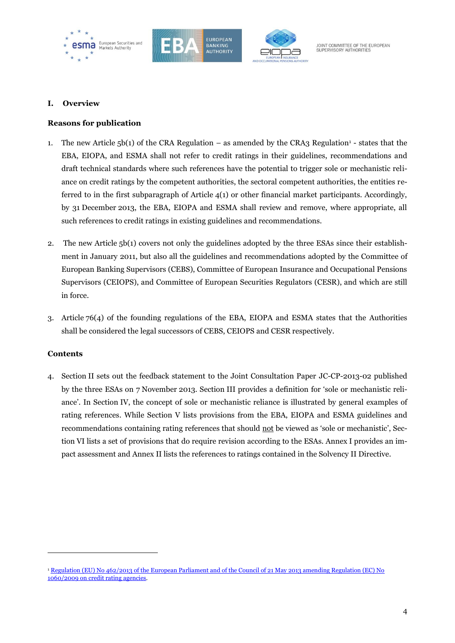





#### <span id="page-3-0"></span>**I. Overview**

#### **Reasons for publication**

- 1. The new Article  $5b(1)$  of the CRA Regulation as amended by the CRA3 Regulation<sup>1</sup> states that the EBA, EIOPA, and ESMA shall not refer to credit ratings in their guidelines, recommendations and draft technical standards where such references have the potential to trigger sole or mechanistic reliance on credit ratings by the competent authorities, the sectoral competent authorities, the entities referred to in the first subparagraph of Article  $4(1)$  or other financial market participants. Accordingly, by 31 December 2013, the EBA, EIOPA and ESMA shall review and remove, where appropriate, all such references to credit ratings in existing guidelines and recommendations.
- 2. The new Article 5b(1) covers not only the guidelines adopted by the three ESAs since their establishment in January 2011, but also all the guidelines and recommendations adopted by the Committee of European Banking Supervisors (CEBS), Committee of European Insurance and Occupational Pensions Supervisors (CEIOPS), and Committee of European Securities Regulators (CESR), and which are still in force.
- 3. Article 76(4) of the founding regulations of the EBA, EIOPA and ESMA states that the Authorities shall be considered the legal successors of CEBS, CEIOPS and CESR respectively.

#### **Contents**

 $\overline{a}$ 

4. Section II sets out the feedback statement to the Joint Consultation Paper JC-CP-2013-02 published by the three ESAs on 7 November 2013. Section III provides a definition for 'sole or mechanistic reliance'. In Section IV, the concept of sole or mechanistic reliance is illustrated by general examples of rating references. While Section V lists provisions from the EBA, EIOPA and ESMA guidelines and recommendations containing rating references that should not be viewed as 'sole or mechanistic', Section VI lists a set of provisions that do require revision according to the ESAs. Annex I provides an impact assessment and Annex II lists the references to ratings contained in the Solvency II Directive.

<sup>1</sup> [Regulation \(EU\) No 462/2013 of the European Parliament and of the Council of 21 May 2013 amending Regulation \(EC\) No](http://eur-lex.europa.eu/LexUriServ/LexUriServ.do?uri=OJ:L:2013:146:0001:0033:EN:PDF)  [1060/2009 on credit rating agencies.](http://eur-lex.europa.eu/LexUriServ/LexUriServ.do?uri=OJ:L:2013:146:0001:0033:EN:PDF)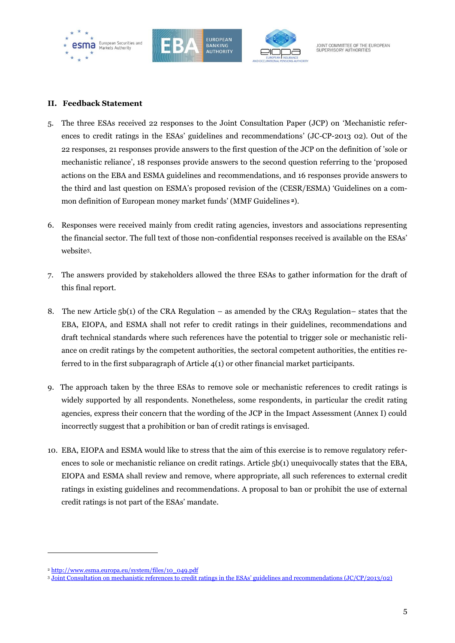





#### <span id="page-4-0"></span>**II. Feedback Statement**

- 5. The three ESAs received 22 responses to the Joint Consultation Paper (JCP) on 'Mechanistic references to credit ratings in the ESAs' guidelines and recommendations' (JC-CP-2013 02). Out of the 22 responses, 21 responses provide answers to the first question of the JCP on the definition of 'sole or mechanistic reliance', 18 responses provide answers to the second question referring to the 'proposed actions on the EBA and ESMA guidelines and recommendations, and 16 responses provide answers to the third and last question on ESMA's proposed revision of the (CESR/ESMA) 'Guidelines on a common definition of European money market funds' (MMF Guidelines **<sup>2</sup>**).
- 6. Responses were received mainly from credit rating agencies, investors and associations representing the financial sector. The full text of those non-confidential responses received is available on the ESAs' website3.
- 7. The answers provided by stakeholders allowed the three ESAs to gather information for the draft of this final report.
- 8. The new Article 5b(1) of the CRA Regulation as amended by the CRA3 Regulation– states that the EBA, EIOPA, and ESMA shall not refer to credit ratings in their guidelines, recommendations and draft technical standards where such references have the potential to trigger sole or mechanistic reliance on credit ratings by the competent authorities, the sectoral competent authorities, the entities referred to in the first subparagraph of Article 4(1) or other financial market participants.
- 9. The approach taken by the three ESAs to remove sole or mechanistic references to credit ratings is widely supported by all respondents. Nonetheless, some respondents, in particular the credit rating agencies, express their concern that the wording of the JCP in the Impact Assessment (Annex I) could incorrectly suggest that a prohibition or ban of credit ratings is envisaged.
- 10. EBA, EIOPA and ESMA would like to stress that the aim of this exercise is to remove regulatory references to sole or mechanistic reliance on credit ratings. Article 5b(1) unequivocally states that the EBA, EIOPA and ESMA shall review and remove, where appropriate, all such references to external credit ratings in existing guidelines and recommendations. A proposal to ban or prohibit the use of external credit ratings is not part of the ESAs' mandate.

<sup>2</sup> [http://www.esma.europa.eu/system/files/10\\_049.pdf](http://www.esma.europa.eu/system/files/10_049.pdf)

<sup>3</sup> [Joint Consultation on mechanistic references to credit ratings in the ESAs' guidelines and recommendations \(JC/CP/2013/02\)](http://www.eba.europa.eu/regulation-and-policy/credit-risk/mechanicistic-references-to-credit-ratings#responses_478210)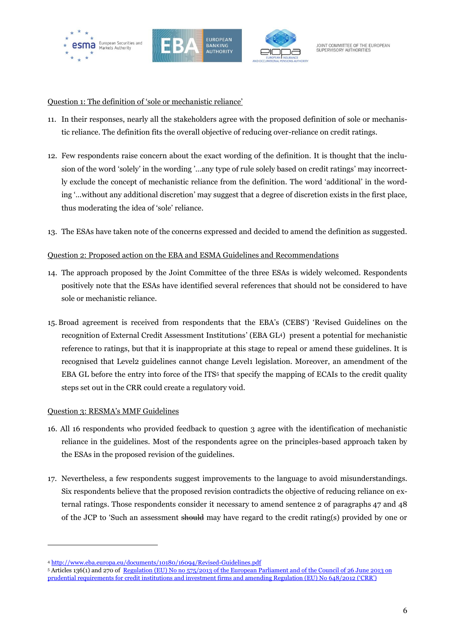





#### Question 1: The definition of 'sole or mechanistic reliance'

- 11. In their responses, nearly all the stakeholders agree with the proposed definition of sole or mechanistic reliance. The definition fits the overall objective of reducing over-reliance on credit ratings.
- 12. Few respondents raise concern about the exact wording of the definition. It is thought that the inclusion of the word 'solely' in the wording '…any type of rule solely based on credit ratings' may incorrectly exclude the concept of mechanistic reliance from the definition. The word 'additional' in the wording '…without any additional discretion' may suggest that a degree of discretion exists in the first place, thus moderating the idea of 'sole' reliance.
- 13. The ESAs have taken note of the concerns expressed and decided to amend the definition as suggested.

#### Question 2: Proposed action on the EBA and ESMA Guidelines and Recommendations

- 14. The approach proposed by the Joint Committee of the three ESAs is widely welcomed. Respondents positively note that the ESAs have identified several references that should not be considered to have sole or mechanistic reliance.
- 15. Broad agreement is received from respondents that the EBA's (CEBS') 'Revised Guidelines on the recognition of External Credit Assessment Institutions' (EBA GL4) present a potential for mechanistic reference to ratings, but that it is inappropriate at this stage to repeal or amend these guidelines. It is recognised that Level2 guidelines cannot change Level1 legislation. Moreover, an amendment of the EBA GL before the entry into force of the ITS<sup>5</sup> that specify the mapping of ECAIs to the credit quality steps set out in the CRR could create a regulatory void.

#### Question 3: RESMA's MMF Guidelines

- 16. All 16 respondents who provided feedback to question 3 agree with the identification of mechanistic reliance in the guidelines. Most of the respondents agree on the principles-based approach taken by the ESAs in the proposed revision of the guidelines.
- 17. Nevertheless, a few respondents suggest improvements to the language to avoid misunderstandings. Six respondents believe that the proposed revision contradicts the objective of reducing reliance on external ratings. Those respondents consider it necessary to amend sentence 2 of paragraphs 47 and 48 of the JCP to 'Such an assessment should may have regard to the credit rating(s) provided by one or

<sup>4</sup> <http://www.eba.europa.eu/documents/10180/16094/Revised-Guidelines.pdf>

<sup>5</sup> Articles 136(1) and 270 of Regulation (EU) No [no 575/2013 of the European Parliament and of the Council of 26](http://new.eur-lex.europa.eu/legal-content/EN/TXT/?uri=oj:JOL_2013_321_R_NS0002) June 2013 on [prudential requirements for credit institutions and investment firms and amending Regulation \(EU\) No](http://new.eur-lex.europa.eu/legal-content/EN/TXT/?uri=oj:JOL_2013_321_R_NS0002) 648/2012 ('CRR')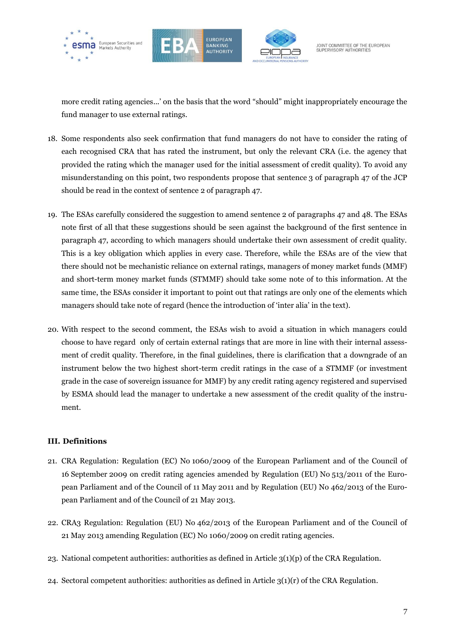





more credit rating agencies...' on the basis that the word "should" might inappropriately encourage the fund manager to use external ratings.

- 18. Some respondents also seek confirmation that fund managers do not have to consider the rating of each recognised CRA that has rated the instrument, but only the relevant CRA (i.e. the agency that provided the rating which the manager used for the initial assessment of credit quality). To avoid any misunderstanding on this point, two respondents propose that sentence 3 of paragraph 47 of the JCP should be read in the context of sentence 2 of paragraph 47.
- 19. The ESAs carefully considered the suggestion to amend sentence 2 of paragraphs 47 and 48. The ESAs note first of all that these suggestions should be seen against the background of the first sentence in paragraph 47, according to which managers should undertake their own assessment of credit quality. This is a key obligation which applies in every case. Therefore, while the ESAs are of the view that there should not be mechanistic reliance on external ratings, managers of money market funds (MMF) and short-term money market funds (STMMF) should take some note of to this information. At the same time, the ESAs consider it important to point out that ratings are only one of the elements which managers should take note of regard (hence the introduction of 'inter alia' in the text).
- 20. With respect to the second comment, the ESAs wish to avoid a situation in which managers could choose to have regard only of certain external ratings that are more in line with their internal assessment of credit quality. Therefore, in the final guidelines, there is clarification that a downgrade of an instrument below the two highest short-term credit ratings in the case of a STMMF (or investment grade in the case of sovereign issuance for MMF) by any credit rating agency registered and supervised by ESMA should lead the manager to undertake a new assessment of the credit quality of the instrument.

#### <span id="page-6-0"></span>**III. Definitions**

- 21. CRA Regulation: Regulation (EC) No 1060/2009 of the European Parliament and of the Council of 16 September 2009 on credit rating agencies amended by Regulation (EU) No 513/2011 of the European Parliament and of the Council of 11 May 2011 and by Regulation (EU) No 462/2013 of the European Parliament and of the Council of 21 May 2013.
- 22. CRA3 Regulation: Regulation (EU) No 462/2013 of the European Parliament and of the Council of 21 May 2013 amending Regulation (EC) No 1060/2009 on credit rating agencies.
- 23. National competent authorities: authorities as defined in Article 3(1)(p) of the CRA Regulation.
- 24. Sectoral competent authorities: authorities as defined in Article  $3(1)(r)$  of the CRA Regulation.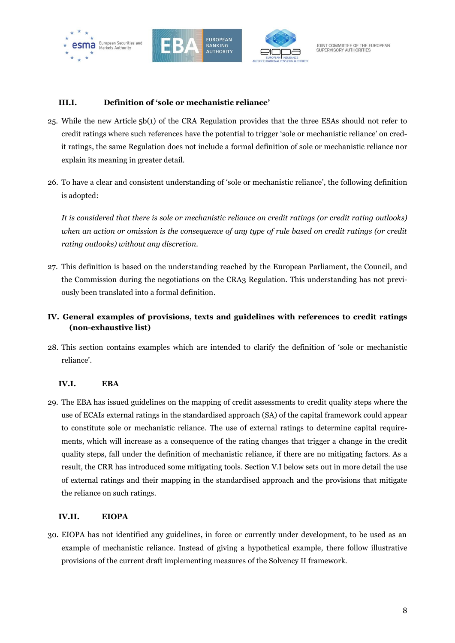





#### **III.I. Definition of 'sole or mechanistic reliance'**

- 25. While the new Article 5b(1) of the CRA Regulation provides that the three ESAs should not refer to credit ratings where such references have the potential to trigger 'sole or mechanistic reliance' on credit ratings, the same Regulation does not include a formal definition of sole or mechanistic reliance nor explain its meaning in greater detail.
- 26. To have a clear and consistent understanding of 'sole or mechanistic reliance', the following definition is adopted:

*It is considered that there is sole or mechanistic reliance on credit ratings (or credit rating outlooks) when an action or omission is the consequence of any type of rule based on credit ratings (or credit rating outlooks) without any discretion.*

27. This definition is based on the understanding reached by the European Parliament, the Council, and the Commission during the negotiations on the CRA3 Regulation. This understanding has not previously been translated into a formal definition.

## <span id="page-7-0"></span>**IV. General examples of provisions, texts and guidelines with references to credit ratings (non-exhaustive list)**

28. This section contains examples which are intended to clarify the definition of 'sole or mechanistic reliance'.

#### **IV.I. EBA**

29. The EBA has issued guidelines on the mapping of credit assessments to credit quality steps where the use of ECAIs external ratings in the standardised approach (SA) of the capital framework could appear to constitute sole or mechanistic reliance. The use of external ratings to determine capital requirements, which will increase as a consequence of the rating changes that trigger a change in the credit quality steps, fall under the definition of mechanistic reliance, if there are no mitigating factors. As a result, the CRR has introduced some mitigating tools. Section V.I below sets out in more detail the use of external ratings and their mapping in the standardised approach and the provisions that mitigate the reliance on such ratings.

#### **IV.II. EIOPA**

30. EIOPA has not identified any guidelines, in force or currently under development, to be used as an example of mechanistic reliance. Instead of giving a hypothetical example, there follow illustrative provisions of the current draft implementing measures of the Solvency II framework.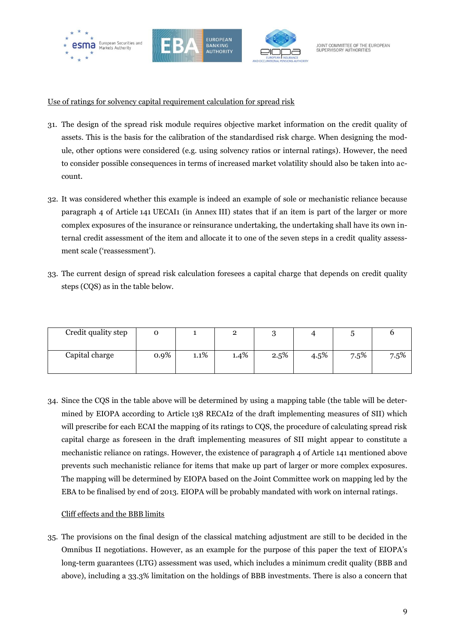





#### Use of ratings for solvency capital requirement calculation for spread risk

- 31. The design of the spread risk module requires objective market information on the credit quality of assets. This is the basis for the calibration of the standardised risk charge. When designing the module, other options were considered (e.g. using solvency ratios or internal ratings). However, the need to consider possible consequences in terms of increased market volatility should also be taken into account.
- 32. It was considered whether this example is indeed an example of sole or mechanistic reliance because paragraph 4 of Article 141 UECAI1 (in Annex III) states that if an item is part of the larger or more complex exposures of the insurance or reinsurance undertaking, the undertaking shall have its own internal credit assessment of the item and allocate it to one of the seven steps in a credit quality assessment scale ('reassessment').
- 33. The current design of spread risk calculation foresees a capital charge that depends on credit quality steps (CQS) as in the table below.

| Credit quality step |      |         | -    |      |         |      |      |
|---------------------|------|---------|------|------|---------|------|------|
| Capital charge      | 0.9% | $1.1\%$ | 1.4% | 2.5% | $4.5\%$ | 7.5% | 7.5% |

34. Since the CQS in the table above will be determined by using a mapping table (the table will be determined by EIOPA according to Article 138 RECAI2 of the draft implementing measures of SII) which will prescribe for each ECAI the mapping of its ratings to CQS, the procedure of calculating spread risk capital charge as foreseen in the draft implementing measures of SII might appear to constitute a mechanistic reliance on ratings. However, the existence of paragraph 4 of Article 141 mentioned above prevents such mechanistic reliance for items that make up part of larger or more complex exposures. The mapping will be determined by EIOPA based on the Joint Committee work on mapping led by the EBA to be finalised by end of 2013. EIOPA will be probably mandated with work on internal ratings.

#### Cliff effects and the BBB limits

35. The provisions on the final design of the classical matching adjustment are still to be decided in the Omnibus II negotiations. However, as an example for the purpose of this paper the text of EIOPA's long-term guarantees (LTG) assessment was used, which includes a minimum credit quality (BBB and above), including a 33.3% limitation on the holdings of BBB investments. There is also a concern that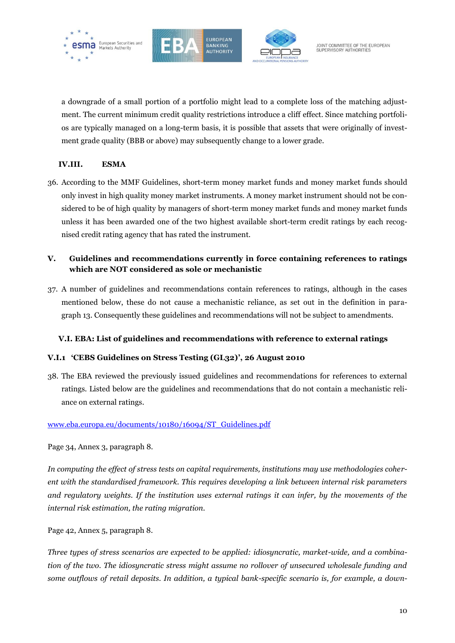





a downgrade of a small portion of a portfolio might lead to a complete loss of the matching adjustment. The current minimum credit quality restrictions introduce a cliff effect. Since matching portfolios are typically managed on a long-term basis, it is possible that assets that were originally of investment grade quality (BBB or above) may subsequently change to a lower grade.

#### **IV.III. ESMA**

36. According to the MMF Guidelines, short-term money market funds and money market funds should only invest in high quality money market instruments. A money market instrument should not be considered to be of high quality by managers of short-term money market funds and money market funds unless it has been awarded one of the two highest available short-term credit ratings by each recognised credit rating agency that has rated the instrument.

## <span id="page-9-0"></span>**V. Guidelines and recommendations currently in force containing references to ratings which are NOT considered as sole or mechanistic**

37. A number of guidelines and recommendations contain references to ratings, although in the cases mentioned below, these do not cause a mechanistic reliance, as set out in the definition in paragraph 13. Consequently these guidelines and recommendations will not be subject to amendments.

## **V.I. EBA: List of guidelines and recommendations with reference to external ratings**

#### **V.I.1 'CEBS Guidelines on Stress Testing (GL32)', 26 August 2010**

38. The EBA reviewed the previously issued guidelines and recommendations for references to external ratings. Listed below are the guidelines and recommendations that do not contain a mechanistic reliance on external ratings.

#### [www.eba.europa.eu/documents/10180/16094/ST\\_Guidelines.pdf](http://www.eba.europa.eu/documents/10180/16094/ST_Guidelines.pdf)

Page 34, Annex 3, paragraph 8.

*In computing the effect of stress tests on capital requirements, institutions may use methodologies coherent with the standardised framework. This requires developing a link between internal risk parameters and regulatory weights. If the institution uses external ratings it can infer, by the movements of the internal risk estimation, the rating migration.*

Page 42, Annex 5, paragraph 8.

*Three types of stress scenarios are expected to be applied: idiosyncratic, market-wide, and a combination of the two. The idiosyncratic stress might assume no rollover of unsecured wholesale funding and some outflows of retail deposits. In addition, a typical bank-specific scenario is, for example, a down-*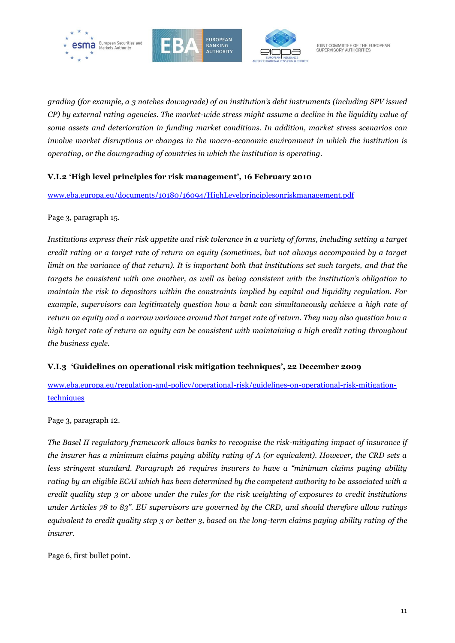





*grading (for example, a 3 notches downgrade) of an institution's debt instruments (including SPV issued CP) by external rating agencies. The market-wide stress might assume a decline in the liquidity value of some assets and deterioration in funding market conditions. In addition, market stress scenarios can involve market disruptions or changes in the macro-economic environment in which the institution is operating, or the downgrading of countries in which the institution is operating.* 

### **V.I.2 'High level principles for risk management', 16 February 2010**

[www.eba.europa.eu/documents/10180/16094/HighLevelprinciplesonriskmanagement.pdf](http://www.eba.europa.eu/documents/10180/16094/HighLevelprinciplesonriskmanagement.pdf)

#### Page 3, paragraph 15.

*Institutions express their risk appetite and risk tolerance in a variety of forms, including setting a target credit rating or a target rate of return on equity (sometimes, but not always accompanied by a target limit on the variance of that return). It is important both that institutions set such targets, and that the targets be consistent with one another, as well as being consistent with the institution's obligation to maintain the risk to depositors within the constraints implied by capital and liquidity regulation. For example, supervisors can legitimately question how a bank can simultaneously achieve a high rate of return on equity and a narrow variance around that target rate of return. They may also question how a high target rate of return on equity can be consistent with maintaining a high credit rating throughout the business cycle.*

#### **V.I.3 'Guidelines on operational risk mitigation techniques', 22 December 2009**

[www.eba.europa.eu/regulation-and-policy/operational-risk/guidelines-on-operational-risk-mitigation](file:///C:/Users/vnickel/AppData/Local/Microsoft/Windows/Temporary%20Internet%20Files/Users/cboidard/AppData/Local/Microsoft/Windows/Temporary%20Internet%20Files/Content.Outlook/P1LY6GD4/www.eba.europa.eu/regulation-and-policy/operational-risk/guidelines-on-operational-risk-mitigation-techniques)[techniques](file:///C:/Users/vnickel/AppData/Local/Microsoft/Windows/Temporary%20Internet%20Files/Users/cboidard/AppData/Local/Microsoft/Windows/Temporary%20Internet%20Files/Content.Outlook/P1LY6GD4/www.eba.europa.eu/regulation-and-policy/operational-risk/guidelines-on-operational-risk-mitigation-techniques)

Page 3, paragraph 12.

*The Basel II regulatory framework allows banks to recognise the risk-mitigating impact of insurance if the insurer has a minimum claims paying ability rating of A (or equivalent). However, the CRD sets a less stringent standard. Paragraph 26 requires insurers to have a "minimum claims paying ability rating by an eligible ECAI which has been determined by the competent authority to be associated with a credit quality step 3 or above under the rules for the risk weighting of exposures to credit institutions under Articles 78 to 83". EU supervisors are governed by the CRD, and should therefore allow ratings equivalent to credit quality step 3 or better 3, based on the long-term claims paying ability rating of the insurer.*

Page 6, first bullet point.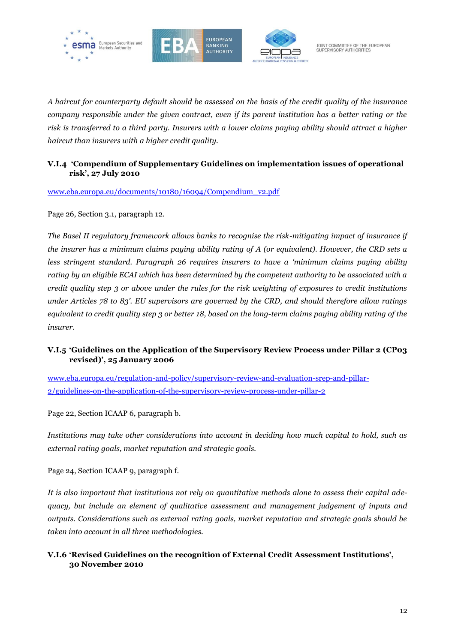





*A haircut for counterparty default should be assessed on the basis of the credit quality of the insurance company responsible under the given contract, even if its parent institution has a better rating or the risk is transferred to a third party. Insurers with a lower claims paying ability should attract a higher haircut than insurers with a higher credit quality.* 

#### **V.I.4 'Compendium of Supplementary Guidelines on implementation issues of operational risk', 27 July 2010**

[www.eba.europa.eu/documents/10180/16094/Compendium\\_v2.pdf](http://www.eba.europa.eu/documents/10180/16094/Compendium_v2.pdf)

Page 26, Section 3.1, paragraph 12.

*The Basel II regulatory framework allows banks to recognise the risk-mitigating impact of insurance if the insurer has a minimum claims paying ability rating of A (or equivalent). However, the CRD sets a less stringent standard. Paragraph 26 requires insurers to have a 'minimum claims paying ability rating by an eligible ECAI which has been determined by the competent authority to be associated with a credit quality step 3 or above under the rules for the risk weighting of exposures to credit institutions under Articles 78 to 83'. EU supervisors are governed by the CRD, and should therefore allow ratings equivalent to credit quality step 3 or better 18, based on the long-term claims paying ability rating of the insurer.*

### **V.I.5 'Guidelines on the Application of the Supervisory Review Process under Pillar 2 (CP03 revised)', 25 January 2006**

[www.eba.europa.eu/regulation-and-policy/supervisory-review-and-evaluation-srep-and-pillar-](http://www.eba.europa.eu/regulation-and-policy/supervisory-review-and-evaluation-srep-and-pillar-2/guidelines-on-the-application-of-the-supervisory-review-process-under-pillar-2)[2/guidelines-on-the-application-of-the-supervisory-review-process-under-pillar-2](http://www.eba.europa.eu/regulation-and-policy/supervisory-review-and-evaluation-srep-and-pillar-2/guidelines-on-the-application-of-the-supervisory-review-process-under-pillar-2)

Page 22, Section ICAAP 6, paragraph b.

*Institutions may take other considerations into account in deciding how much capital to hold, such as external rating goals, market reputation and strategic goals.*

Page 24, Section ICAAP 9, paragraph f.

*It is also important that institutions not rely on quantitative methods alone to assess their capital adequacy, but include an element of qualitative assessment and management judgement of inputs and outputs. Considerations such as external rating goals, market reputation and strategic goals should be taken into account in all three methodologies.*

#### **V.I.6 'Revised Guidelines on the recognition of External Credit Assessment Institutions', 30 November 2010**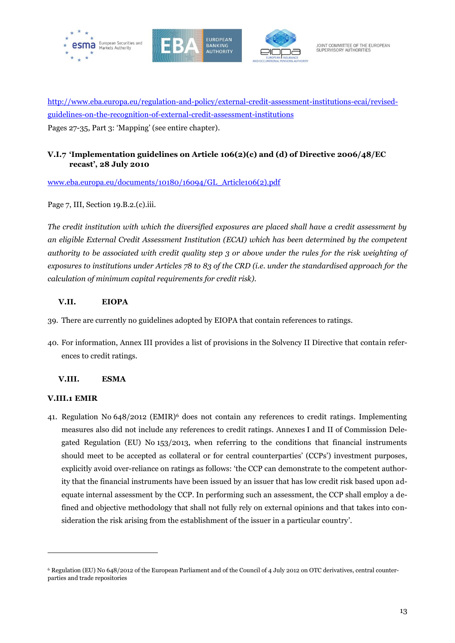





http://www.eba.europa.eu/regulation-and-policy/external-credit-assessment-institutions-ecai/revisedguidelines-on-the-recognition-of-external-credit-assessment-institutions Pages 27-35, Part 3: 'Mapping' (see entire chapter).

## **V.I.7 'Implementation guidelines on Article 106(2)(c) and (d) of Directive 2006/48/EC recast', 28 July 2010**

[www.eba.europa.eu/documents/10180/16094/GL\\_Article106\(2\).pdf](http://www.eba.europa.eu/documents/10180/16094/GL_Article106(2).pdf)

Page 7, III, Section 19.B.2.(c).iii.

*The credit institution with which the diversified exposures are placed shall have a credit assessment by an eligible External Credit Assessment Institution (ECAI) which has been determined by the competent authority to be associated with credit quality step 3 or above under the rules for the risk weighting of exposures to institutions under Articles 78 to 83 of the CRD (i.e. under the standardised approach for the calculation of minimum capital requirements for credit risk).*

#### **V.II. EIOPA**

- 39. There are currently no guidelines adopted by EIOPA that contain references to ratings.
- 40. For information, Annex III provides a list of provisions in the Solvency II Directive that contain references to credit ratings.

#### **V.III. ESMA**

#### **V.III.1 EMIR**

 $\overline{a}$ 

41. Regulation No 648/2012 (EMIR)<sup>6</sup> does not contain any references to credit ratings. Implementing measures also did not include any references to credit ratings. Annexes I and II of Commission Delegated Regulation (EU) No 153/2013, when referring to the conditions that financial instruments should meet to be accepted as collateral or for central counterparties' (CCPs') investment purposes, explicitly avoid over-reliance on ratings as follows: 'the CCP can demonstrate to the competent authority that the financial instruments have been issued by an issuer that has low credit risk based upon adequate internal assessment by the CCP. In performing such an assessment, the CCP shall employ a defined and objective methodology that shall not fully rely on external opinions and that takes into consideration the risk arising from the establishment of the issuer in a particular country'.

<sup>6</sup> Regulation (EU) No 648/2012 of the European Parliament and of the Council of 4 July 2012 on OTC derivatives, central counterparties and trade repositories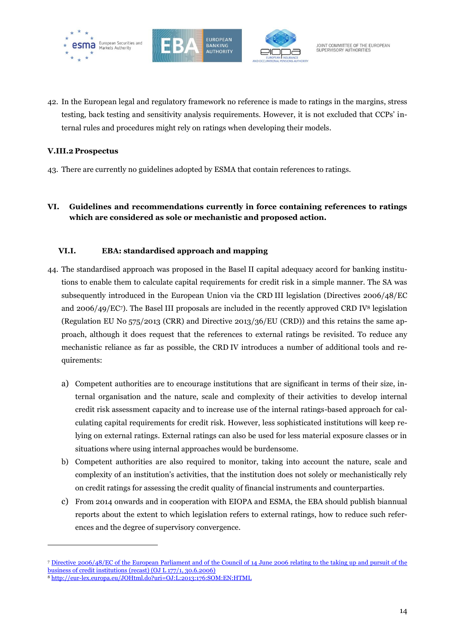





42. In the European legal and regulatory framework no reference is made to ratings in the margins, stress testing, back testing and sensitivity analysis requirements. However, it is not excluded that CCPs' internal rules and procedures might rely on ratings when developing their models.

#### **V.III.2 Prospectus**

- 43. There are currently no guidelines adopted by ESMA that contain references to ratings.
- <span id="page-13-0"></span>**VI. Guidelines and recommendations currently in force containing references to ratings which are considered as sole or mechanistic and proposed action.**

#### **VI.I. EBA: standardised approach and mapping**

- 44. The standardised approach was proposed in the Basel II capital adequacy accord for banking institutions to enable them to calculate capital requirements for credit risk in a simple manner. The SA was subsequently introduced in the European Union via the CRD III legislation (Directives 2006/48/EC and 2006/49/EC7). The Basel III proposals are included in the recently approved CRD IV<sup>8</sup> legislation (Regulation EU No 575/2013 (CRR) and Directive 2013/36/EU (CRD)) and this retains the same approach, although it does request that the references to external ratings be revisited. To reduce any mechanistic reliance as far as possible, the CRD IV introduces a number of additional tools and requirements:
	- a) Competent authorities are to encourage institutions that are significant in terms of their size, internal organisation and the nature, scale and complexity of their activities to develop internal credit risk assessment capacity and to increase use of the internal ratings-based approach for calculating capital requirements for credit risk. However, less sophisticated institutions will keep relying on external ratings. External ratings can also be used for less material exposure classes or in situations where using internal approaches would be burdensome.
	- b) Competent authorities are also required to monitor, taking into account the nature, scale and complexity of an institution's activities, that the institution does not solely or mechanistically rely on credit ratings for assessing the credit quality of financial instruments and counterparties.
	- c) From 2014 onwards and in cooperation with EIOPA and ESMA, the EBA should publish biannual reports about the extent to which legislation refers to external ratings, how to reduce such references and the degree of supervisory convergence.

<sup>7</sup> [Directive 2006/48/EC of the European Parliament and of the Council of 14 June 2006 relating to the taking up and pursuit of the](http://eur-lex.europa.eu/LexUriServ/site/en/oj/2006/l_177/l_17720060630en00010200.pdf)  [business of credit institutions \(recast\) \(OJ L 177/1, 30.6.2006\)](http://eur-lex.europa.eu/LexUriServ/site/en/oj/2006/l_177/l_17720060630en00010200.pdf)

<sup>8</sup> <http://eur-lex.europa.eu/JOHtml.do?uri=OJ:L:2013:176:SOM:EN:HTML>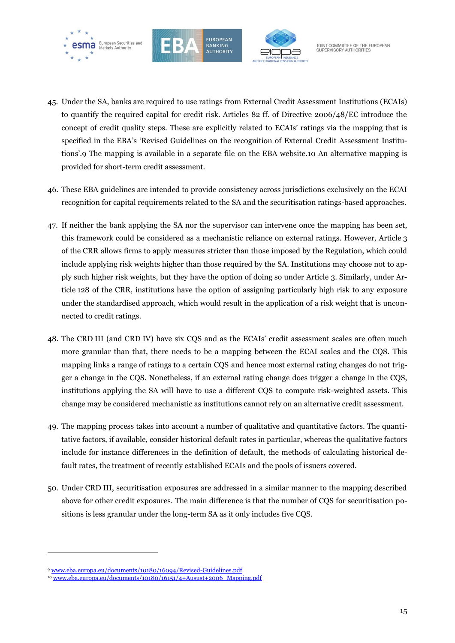





- 45. Under the SA, banks are required to use ratings from External Credit Assessment Institutions (ECAIs) to quantify the required capital for credit risk. Articles 82 ff. of Directive 2006/48/EC introduce the concept of credit quality steps. These are explicitly related to ECAIs' ratings via the mapping that is specified in the EBA's 'Revised Guidelines on the recognition of External Credit Assessment Institutions'.9 The mapping is available in a separate file on the EBA website.10 An alternative mapping is provided for short-term credit assessment.
- 46. These EBA guidelines are intended to provide consistency across jurisdictions exclusively on the ECAI recognition for capital requirements related to the SA and the securitisation ratings-based approaches.
- 47. If neither the bank applying the SA nor the supervisor can intervene once the mapping has been set, this framework could be considered as a mechanistic reliance on external ratings. However, Article 3 of the CRR allows firms to apply measures stricter than those imposed by the Regulation, which could include applying risk weights higher than those required by the SA. Institutions may choose not to apply such higher risk weights, but they have the option of doing so under Article 3. Similarly, under Article 128 of the CRR, institutions have the option of assigning particularly high risk to any exposure under the standardised approach, which would result in the application of a risk weight that is unconnected to credit ratings.
- 48. The CRD III (and CRD IV) have six CQS and as the ECAIs' credit assessment scales are often much more granular than that, there needs to be a mapping between the ECAI scales and the CQS. This mapping links a range of ratings to a certain CQS and hence most external rating changes do not trigger a change in the CQS. Nonetheless, if an external rating change does trigger a change in the CQS, institutions applying the SA will have to use a different CQS to compute risk-weighted assets. This change may be considered mechanistic as institutions cannot rely on an alternative credit assessment.
- 49. The mapping process takes into account a number of qualitative and quantitative factors. The quantitative factors, if available, consider historical default rates in particular, whereas the qualitative factors include for instance differences in the definition of default, the methods of calculating historical default rates, the treatment of recently established ECAIs and the pools of issuers covered.
- 50. Under CRD III, securitisation exposures are addressed in a similar manner to the mapping described above for other credit exposures. The main difference is that the number of CQS for securitisation positions is less granular under the long-term SA as it only includes five CQS.

<sup>9</sup> [www.eba.europa.eu/documents/10180/16094/Revised-Guidelines.pdf](file:///C:/Users/vnickel/AppData/Local/Microsoft/Windows/Temporary%20Internet%20Files/Users/vnickel/AppData/Local/Microsoft/Windows/Temporary%20Internet%20Files/Content.Outlook/OMJUFOV4/www.eba.europa.eu/documents/10180/16094/Revised-Guidelines.pdf)

<sup>10</sup> [www.eba.europa.eu/documents/10180/16151/4+Ausust+2006\\_Mapping.pdf](file:///C:/Users/vnickel/AppData/Local/Microsoft/Windows/Temporary%20Internet%20Files/Users/vnickel/AppData/Local/Microsoft/Windows/Temporary%20Internet%20Files/Content.Outlook/OMJUFOV4/www.eba.europa.eu/documents/10180/16151/4+Ausust+2006_Mapping.pdf)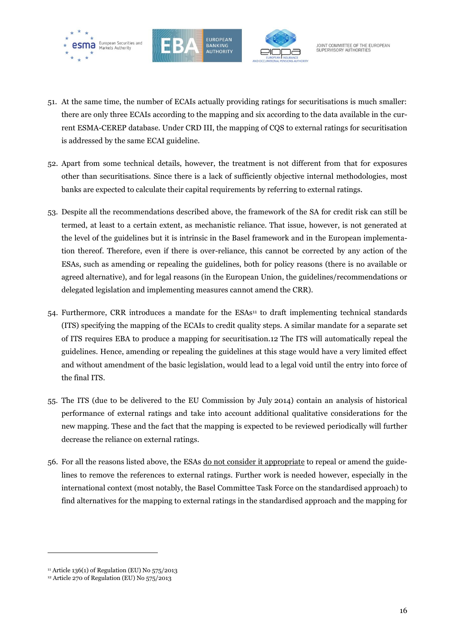





- 51. At the same time, the number of ECAIs actually providing ratings for securitisations is much smaller: there are only three ECAIs according to the mapping and six according to the data available in the current ESMA-CEREP database. Under CRD III, the mapping of CQS to external ratings for securitisation is addressed by the same ECAI guideline.
- 52. Apart from some technical details, however, the treatment is not different from that for exposures other than securitisations. Since there is a lack of sufficiently objective internal methodologies, most banks are expected to calculate their capital requirements by referring to external ratings.
- 53. Despite all the recommendations described above, the framework of the SA for credit risk can still be termed, at least to a certain extent, as mechanistic reliance. That issue, however, is not generated at the level of the guidelines but it is intrinsic in the Basel framework and in the European implementation thereof. Therefore, even if there is over-reliance, this cannot be corrected by any action of the ESAs, such as amending or repealing the guidelines, both for policy reasons (there is no available or agreed alternative), and for legal reasons (in the European Union, the guidelines/recommendations or delegated legislation and implementing measures cannot amend the CRR).
- 54. Furthermore, CRR introduces a mandate for the ESAs<sup>11</sup> to draft implementing technical standards (ITS) specifying the mapping of the ECAIs to credit quality steps. A similar mandate for a separate set of ITS requires EBA to produce a mapping for securitisation.12 The ITS will automatically repeal the guidelines. Hence, amending or repealing the guidelines at this stage would have a very limited effect and without amendment of the basic legislation, would lead to a legal void until the entry into force of the final ITS.
- 55. The ITS (due to be delivered to the EU Commission by July 2014) contain an analysis of historical performance of external ratings and take into account additional qualitative considerations for the new mapping. These and the fact that the mapping is expected to be reviewed periodically will further decrease the reliance on external ratings.
- 56. For all the reasons listed above, the ESAs do not consider it appropriate to repeal or amend the guidelines to remove the references to external ratings. Further work is needed however, especially in the international context (most notably, the Basel Committee Task Force on the standardised approach) to find alternatives for the mapping to external ratings in the standardised approach and the mapping for

<sup>&</sup>lt;sup>11</sup> Article 136(1) of Regulation (EU) No 575/2013

<sup>12</sup> Article 270 of Regulation (EU) No 575/2013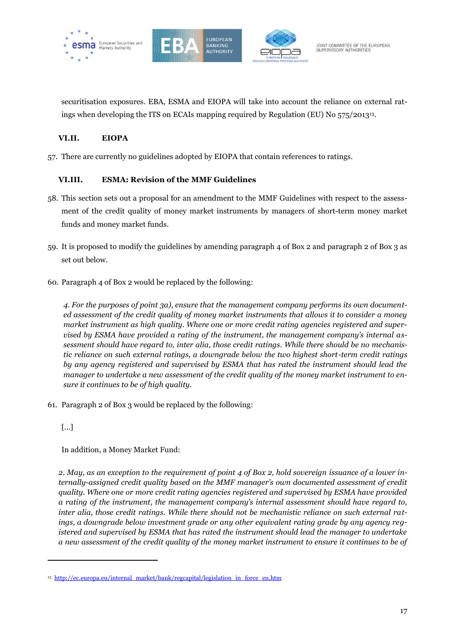





securitisation exposures. EBA, ESMA and EIOPA will take into account the reliance on external ratings when developing the ITS on ECAIs mapping required by Regulation (EU) No 575/201313.

## **VI.II. EIOPA**

57. There are currently no guidelines adopted by EIOPA that contain references to ratings.

### **VI.III. ESMA: Revision of the MMF Guidelines**

- 58. This section sets out a proposal for an amendment to the MMF Guidelines with respect to the assessment of the credit quality of money market instruments by managers of short-term money market funds and money market funds.
- 59. It is proposed to modify the guidelines by amending paragraph 4 of Box 2 and paragraph 2 of Box 3 as set out below.
- 60. Paragraph 4 of Box 2 would be replaced by the following:

*4. For the purposes of point 3a), ensure that the management company performs its own documented assessment of the credit quality of money market instruments that allows it to consider a money market instrument as high quality. Where one or more credit rating agencies registered and supervised by ESMA have provided a rating of the instrument, the management company's internal assessment should have regard to, inter alia, those credit ratings. While there should be no mechanistic reliance on such external ratings, a downgrade below the two highest short-term credit ratings by any agency registered and supervised by ESMA that has rated the instrument should lead the manager to undertake a new assessment of the credit quality of the money market instrument to ensure it continues to be of high quality.*

61. Paragraph 2 of Box 3 would be replaced by the following:

#### […]

 $\overline{a}$ 

In addition, a Money Market Fund:

*2. May, as an exception to the requirement of point 4 of Box 2, hold sovereign issuance of a lower internally-assigned credit quality based on the MMF manager's own documented assessment of credit quality. Where one or more credit rating agencies registered and supervised by ESMA have provided a rating of the instrument, the management company's internal assessment should have regard to, inter alia, those credit ratings. While there should not be mechanistic reliance on such external ratings, a downgrade below investment grade or any other equivalent rating grade by any agency registered and supervised by ESMA that has rated the instrument should lead the manager to undertake a new assessment of the credit quality of the money market instrument to ensure it continues to be of* 

<sup>&</sup>lt;sup>13</sup> [http://ec.europa.eu/internal\\_market/bank/regcapital/legislation\\_in\\_force\\_en.htm](http://ec.europa.eu/internal_market/bank/regcapital/legislation_in_force_en.htm)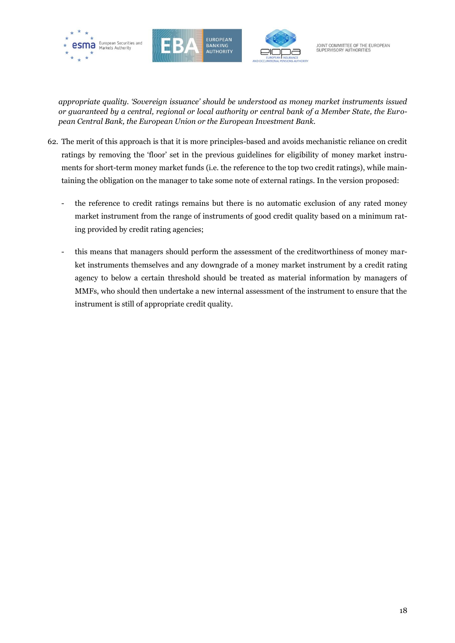





*appropriate quality. 'Sovereign issuance' should be understood as money market instruments issued or guaranteed by a central, regional or local authority or central bank of a Member State, the European Central Bank, the European Union or the European Investment Bank.*

- 62. The merit of this approach is that it is more principles-based and avoids mechanistic reliance on credit ratings by removing the 'floor' set in the previous guidelines for eligibility of money market instruments for short-term money market funds (i.e. the reference to the top two credit ratings), while maintaining the obligation on the manager to take some note of external ratings. In the version proposed:
	- the reference to credit ratings remains but there is no automatic exclusion of any rated money market instrument from the range of instruments of good credit quality based on a minimum rating provided by credit rating agencies;
	- this means that managers should perform the assessment of the creditworthiness of money market instruments themselves and any downgrade of a money market instrument by a credit rating agency to below a certain threshold should be treated as material information by managers of MMFs, who should then undertake a new internal assessment of the instrument to ensure that the instrument is still of appropriate credit quality.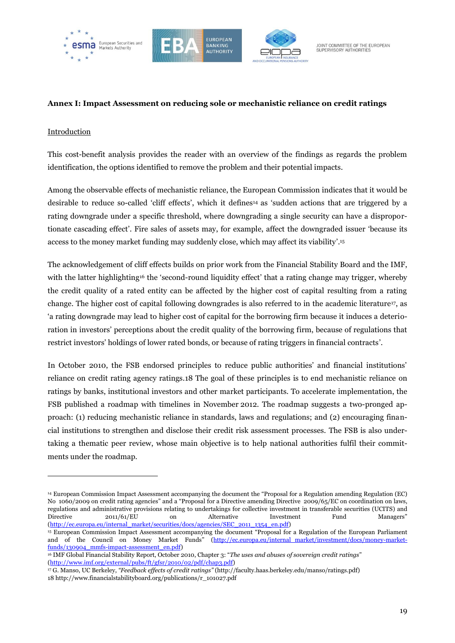





#### <span id="page-18-0"></span>**Annex I: Impact Assessment on reducing sole or mechanistic reliance on credit ratings**

#### Introduction

 $\ddot{\phantom{a}}$ 

This cost-benefit analysis provides the reader with an overview of the findings as regards the problem identification, the options identified to remove the problem and their potential impacts.

Among the observable effects of mechanistic reliance, the European Commission indicates that it would be desirable to reduce so-called 'cliff effects', which it defines<sup>14</sup> as 'sudden actions that are triggered by a rating downgrade under a specific threshold, where downgrading a single security can have a disproportionate cascading effect'. Fire sales of assets may, for example, affect the downgraded issuer 'because its access to the money market funding may suddenly close, which may affect its viability'. 15

The acknowledgement of cliff effects builds on prior work from the Financial Stability Board and the IMF, with the latter highlighting<sup>16</sup> the 'second-round liquidity effect' that a rating change may trigger, whereby the credit quality of a rated entity can be affected by the higher cost of capital resulting from a rating change. The higher cost of capital following downgrades is also referred to in the academic literature<sup>17</sup>, as 'a rating downgrade may lead to higher cost of capital for the borrowing firm because it induces a deterioration in investors' perceptions about the credit quality of the borrowing firm, because of regulations that restrict investors' holdings of lower rated bonds, or because of rating triggers in financial contracts'.

In October 2010, the FSB endorsed principles to reduce public authorities' and financial institutions' reliance on credit rating agency ratings.18 The goal of these principles is to end mechanistic reliance on ratings by banks, institutional investors and other market participants. To accelerate implementation, the FSB published a roadmap with timelines in November 2012. The roadmap suggests a two-pronged approach: (1) reducing mechanistic reliance in standards, laws and regulations; and (2) encouraging financial institutions to strengthen and disclose their credit risk assessment processes. The FSB is also undertaking a thematic peer review, whose main objective is to help national authorities fulfil their commitments under the roadmap.

<sup>14</sup> European Commission Impact Assessment accompanying the document the "Proposal for a Regulation amending Regulation (EC) No 1060/2009 on credit rating agencies" and a "Proposal for a Directive amending Directive 2009/65/EC on coordination on laws, regulations and administrative provisions relating to undertakings for collective investment in transferable securities (UCITS) and Directive 2011/61/EU on Alternative Investment Fund Managers" [\(http://ec.europa.eu/internal\\_market/securities/docs/agencies/SEC\\_2011\\_1354\\_en.pdf\)](http://ec.europa.eu/internal_market/securities/docs/agencies/SEC_2011_1354_en.pdf)

<sup>15</sup> European Commission Impact Assessment accompanying the document "Proposal for a Regulation of the European Parliament and of the Council on Money Market Funds" [\(http://ec.europa.eu/internal\\_market/investment/docs/money-market](http://ec.europa.eu/internal_market/investment/docs/money-market-funds/130904_mmfs-impact-assessment_en.pdf)[funds/130904\\_mmfs-impact-assessment\\_en.pdf\)](http://ec.europa.eu/internal_market/investment/docs/money-market-funds/130904_mmfs-impact-assessment_en.pdf)

<sup>16</sup> IMF Global Financial Stability Report, October 2010, Chapter 3: "*The uses and abuses of sovereign credit ratings*" [\(http://www.imf.org/external/pubs/ft/gfsr/2010/02/pdf/chap3.pdf\)](http://www.imf.org/external/pubs/ft/gfsr/2010/02/pdf/chap3.pdf)

<sup>17</sup> G. Manso, UC Berkeley, *"Feedback effects of credit ratings"* [\(http://faculty.haas.berkeley.edu/manso/ratings.pdf\)](http://faculty.haas.berkeley.edu/manso/ratings.pdf) 18 http://www.financialstabilityboard.org/publications/r\_101027.pdf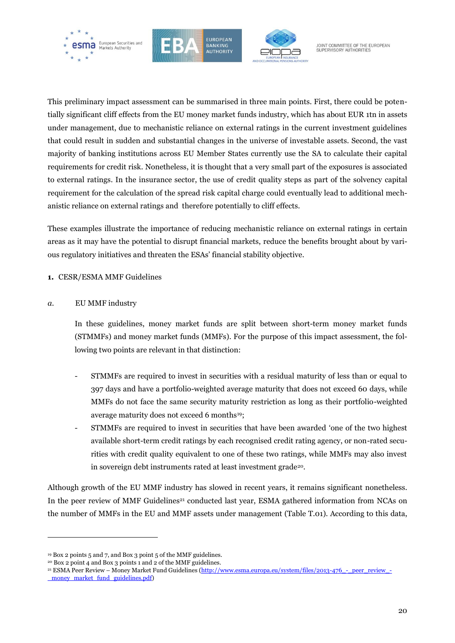





This preliminary impact assessment can be summarised in three main points. First, there could be potentially significant cliff effects from the EU money market funds industry, which has about EUR 1tn in assets under management, due to mechanistic reliance on external ratings in the current investment guidelines that could result in sudden and substantial changes in the universe of investable assets. Second, the vast majority of banking institutions across EU Member States currently use the SA to calculate their capital requirements for credit risk. Nonetheless, it is thought that a very small part of the exposures is associated to external ratings. In the insurance sector, the use of credit quality steps as part of the solvency capital requirement for the calculation of the spread risk capital charge could eventually lead to additional mechanistic reliance on external ratings and therefore potentially to cliff effects.

These examples illustrate the importance of reducing mechanistic reliance on external ratings in certain areas as it may have the potential to disrupt financial markets, reduce the benefits brought about by various regulatory initiatives and threaten the ESAs' financial stability objective.

**1.** CESR/ESMA MMF Guidelines

#### *a.* EU MMF industry

In these guidelines, money market funds are split between short-term money market funds (STMMFs) and money market funds (MMFs). For the purpose of this impact assessment, the following two points are relevant in that distinction:

- STMMFs are required to invest in securities with a residual maturity of less than or equal to 397 days and have a portfolio-weighted average maturity that does not exceed 60 days, while MMFs do not face the same security maturity restriction as long as their portfolio-weighted average maturity does not exceed 6 months<sup>19</sup>;
- STMMFs are required to invest in securities that have been awarded 'one of the two highest available short-term credit ratings by each recognised credit rating agency, or non-rated securities with credit quality equivalent to one of these two ratings, while MMFs may also invest in sovereign debt instruments rated at least investment grade<sup>20</sup>.

Although growth of the EU MMF industry has slowed in recent years, it remains significant nonetheless. In the peer review of MMF Guidelines<sup>21</sup> conducted last year, ESMA gathered information from NCAs on the number of MMFs in the EU and MMF assets under management (Table T.01). According to this data,

<sup>19</sup> Box 2 points 5 and 7, and Box 3 point 5 of the MMF guidelines.

<sup>20</sup> Box 2 point 4 and Box 3 points 1 and 2 of the MMF guidelines.

 $21$  ESMA Peer Review – Money Market Fund Guidelines (http://www.esma.europa.eu/system/files/2013-476 - peer\_review\_money market fund guidelines.pdf)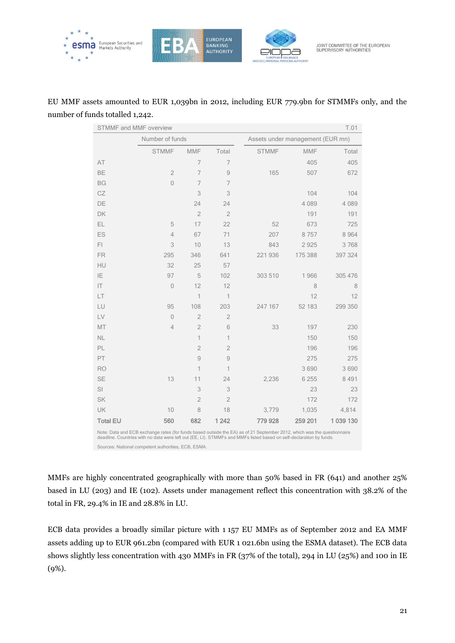

## EU MMF assets amounted to EUR 1,039bn in 2012, including EUR 779.9bn for STMMFs only, and the number of funds totalled 1,242.

| T.01<br><b>STMMF and MMF overview</b>                                                                                                                                                                                                          |                 |                |                |              |                                  |           |
|------------------------------------------------------------------------------------------------------------------------------------------------------------------------------------------------------------------------------------------------|-----------------|----------------|----------------|--------------|----------------------------------|-----------|
|                                                                                                                                                                                                                                                | Number of funds |                |                |              | Assets under management (EUR mn) |           |
|                                                                                                                                                                                                                                                | <b>STMMF</b>    | <b>MMF</b>     | Total          | <b>STMMF</b> | <b>MMF</b>                       | Total     |
| AT                                                                                                                                                                                                                                             |                 | 7              | $\overline{7}$ |              | 405                              | 405       |
| <b>BE</b>                                                                                                                                                                                                                                      | $\overline{2}$  | $\overline{7}$ | $\mathcal{G}$  | 165          | 507                              | 672       |
| <b>BG</b>                                                                                                                                                                                                                                      | $\overline{0}$  | 7              | $\overline{7}$ |              |                                  |           |
| CZ                                                                                                                                                                                                                                             |                 | 3              | 3              |              | 104                              | 104       |
| DE                                                                                                                                                                                                                                             |                 | 24             | 24             |              | 4 0 8 9                          | 4 0 8 9   |
| DK                                                                                                                                                                                                                                             |                 | $\overline{2}$ | $\overline{2}$ |              | 191                              | 191       |
| EL                                                                                                                                                                                                                                             | 5               | 17             | 22             | 52           | 673                              | 725       |
| ES                                                                                                                                                                                                                                             | $\overline{4}$  | 67             | 71             | 207          | 8757                             | 8 9 6 4   |
| FI                                                                                                                                                                                                                                             | 3               | 10             | 13             | 843          | 2925                             | 3768      |
| <b>FR</b>                                                                                                                                                                                                                                      | 295             | 346            | 641            | 221 936      | 175 388                          | 397 324   |
| HU                                                                                                                                                                                                                                             | 32              | 25             | 57             |              |                                  |           |
| IE.                                                                                                                                                                                                                                            | 97              | 5              | 102            | 303 510      | 1966                             | 305 476   |
| IT                                                                                                                                                                                                                                             | $\mathbf{0}$    | 12             | 12             |              | 8                                | 8         |
| LT                                                                                                                                                                                                                                             |                 | 1              | $\mathbf 1$    |              | 12                               | 12        |
| LU                                                                                                                                                                                                                                             | 95              | 108            | 203            | 247 167      | 52 183                           | 299 350   |
| LV                                                                                                                                                                                                                                             | $\overline{0}$  | $\overline{2}$ | $\overline{2}$ |              |                                  |           |
| MT                                                                                                                                                                                                                                             | 4               | $\overline{2}$ | 6              | 33           | 197                              | 230       |
| <b>NL</b>                                                                                                                                                                                                                                      |                 | $\overline{1}$ | $\mathbf{1}$   |              | 150                              | 150       |
| PL                                                                                                                                                                                                                                             |                 | $\overline{2}$ | $\overline{2}$ |              | 196                              | 196       |
| PT                                                                                                                                                                                                                                             |                 | 9              | $\overline{9}$ |              | 275                              | 275       |
| <b>RO</b>                                                                                                                                                                                                                                      |                 | 1              | 1              |              | 3690                             | 3690      |
| <b>SE</b>                                                                                                                                                                                                                                      | 13              | 11             | 24             | 2,236        | 6 2 5 5                          | 8 4 9 1   |
| SI                                                                                                                                                                                                                                             |                 | 3              | 3              |              | 23                               | 23        |
| <b>SK</b>                                                                                                                                                                                                                                      |                 | $\overline{2}$ | $\overline{2}$ |              | 172                              | 172       |
| UK                                                                                                                                                                                                                                             | 10              | 8              | 18             | 3,779        | 1,035                            | 4,814     |
| <b>Total EU</b>                                                                                                                                                                                                                                | 560             | 682            | 1 2 4 2        | 779 928      | 259 201                          | 1 039 130 |
| Note: Data and ECB exchange rates (for funds based outside the EA) as of 21 September 2012, which was the questionnaire<br>deadline. Countries with no data were left out (EE, LI). STMMFs and MMFs listed based on self-declaration by funds. |                 |                |                |              |                                  |           |

Sources: National competent authorities, ECB, ESMA.

MMFs are highly concentrated geographically with more than 50% based in FR (641) and another 25% based in LU (203) and IE (102). Assets under management reflect this concentration with 38.2% of the total in FR, 29.4% in IE and 28.8% in LU.

ECB data provides a broadly similar picture with 1 157 EU MMFs as of September 2012 and EA MMF assets adding up to EUR 961.2bn (compared with EUR 1 021.6bn using the ESMA dataset). The ECB data shows slightly less concentration with 430 MMFs in FR (37% of the total), 294 in LU (25%) and 100 in IE (9%).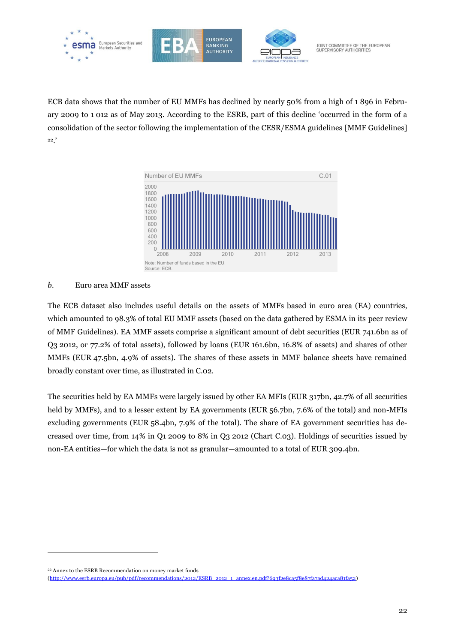

ECB data shows that the number of EU MMFs has declined by nearly 50% from a high of 1 896 in February 2009 to 1 012 as of May 2013. According to the ESRB, part of this decline 'occurred in the form of a consolidation of the sector following the implementation of the CESR/ESMA guidelines [MMF Guidelines] <sup>22</sup>.'



#### *b.* Euro area MMF assets

The ECB dataset also includes useful details on the assets of MMFs based in euro area (EA) countries, which amounted to 98.3% of total EU MMF assets (based on the data gathered by ESMA in its peer review of MMF Guidelines). EA MMF assets comprise a significant amount of debt securities (EUR 741.6bn as of Q3 2012, or 77.2% of total assets), followed by loans (EUR 161.6bn, 16.8% of assets) and shares of other MMFs (EUR 47.5bn, 4.9% of assets). The shares of these assets in MMF balance sheets have remained broadly constant over time, as illustrated in C.02.

The securities held by EA MMFs were largely issued by other EA MFIs (EUR 317bn, 42.7% of all securities held by MMFs), and to a lesser extent by EA governments (EUR 56.7bn, 7.6% of the total) and non-MFIs excluding governments (EUR 58.4bn, 7.9% of the total). The share of EA government securities has decreased over time, from 14% in Q1 2009 to 8% in Q3 2012 (Chart C.03). Holdings of securities issued by non-EA entities—for which the data is not as granular—amounted to a total of EUR 309.4bn.

<sup>22</sup> Annex to the ESRB Recommendation on money market funds

[<sup>\(</sup>http://www.esrb.europa.eu/pub/pdf/recommendations/2012/ESRB\\_2012\\_1\\_annex.en.pdf?693f2e8ca5f8e87fa7ad424aca81fa52\)](http://www.esrb.europa.eu/pub/pdf/recommendations/2012/ESRB_2012_1_annex.en.pdf?693f2e8ca5f8e87fa7ad424aca81fa52)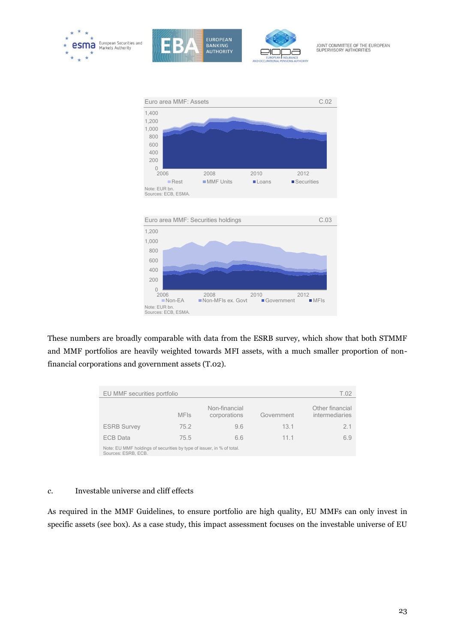





JOINT COMMITTEE OF THE EUROPEAN<br>SUPERVISORY AUTHORITIES



These numbers are broadly comparable with data from the ESRB survey, which show that both STMMF and MMF portfolios are heavily weighted towards MFI assets, with a much smaller proportion of nonfinancial corporations and government assets (T.02).

| EU MMF securities portfolio<br>T.02                                                          |             |                               |            |                                   |  |
|----------------------------------------------------------------------------------------------|-------------|-------------------------------|------------|-----------------------------------|--|
|                                                                                              | <b>MFIs</b> | Non-financial<br>corporations | Government | Other financial<br>intermediaries |  |
| <b>ESRB Survey</b>                                                                           | 752         | 9.6                           | 131        | 21                                |  |
| <b>ECB Data</b>                                                                              | 75.5        | 66                            | 1111       | 6.9                               |  |
| Note: EU MMF holdings of securities by type of issuer, in % of total.<br>Sources: ESRB, ECB. |             |                               |            |                                   |  |

#### *c.* Investable universe and cliff effects

As required in the MMF Guidelines, to ensure portfolio are high quality, EU MMFs can only invest in specific assets (see box). As a case study, this impact assessment focuses on the investable universe of EU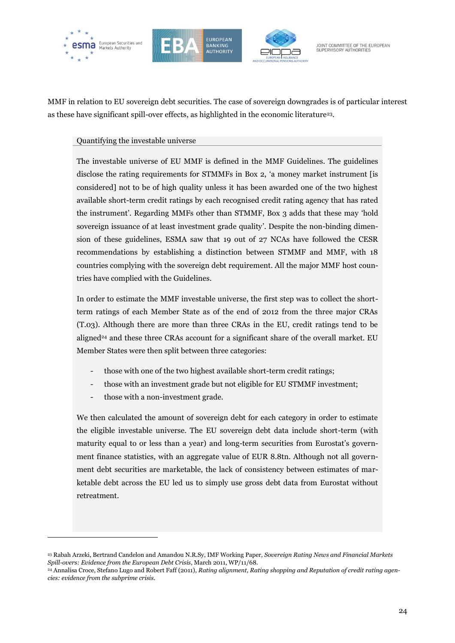





JOINT COMMITTEE OF THE EUROPEAN SUPERVISORY AUTHORITIES

MMF in relation to EU sovereign debt securities. The case of sovereign downgrades is of particular interest as these have significant spill-over effects, as highlighted in the economic literature23.

#### Quantifying the investable universe

The investable universe of EU MMF is defined in the MMF Guidelines. The guidelines disclose the rating requirements for STMMFs in Box 2, 'a money market instrument [is considered] not to be of high quality unless it has been awarded one of the two highest available short-term credit ratings by each recognised credit rating agency that has rated the instrument'. Regarding MMFs other than STMMF, Box 3 adds that these may 'hold sovereign issuance of at least investment grade quality'. Despite the non-binding dimension of these guidelines, ESMA saw that 19 out of 27 NCAs have followed the CESR recommendations by establishing a distinction between STMMF and MMF, with 18 countries complying with the sovereign debt requirement. All the major MMF host countries have complied with the Guidelines.

In order to estimate the MMF investable universe, the first step was to collect the shortterm ratings of each Member State as of the end of 2012 from the three major CRAs (T.03). Although there are more than three CRAs in the EU, credit ratings tend to be aligned<sup>24</sup> and these three CRAs account for a significant share of the overall market. EU Member States were then split between three categories:

- those with one of the two highest available short-term credit ratings;
- those with an investment grade but not eligible for EU STMMF investment;
- those with a non-investment grade.

 $\overline{a}$ 

We then calculated the amount of sovereign debt for each category in order to estimate the eligible investable universe. The EU sovereign debt data include short-term (with maturity equal to or less than a year) and long-term securities from Eurostat's government finance statistics, with an aggregate value of EUR 8.8tn. Although not all government debt securities are marketable, the lack of consistency between estimates of marketable debt across the EU led us to simply use gross debt data from Eurostat without retreatment.

<sup>23</sup> Rabah Arzeki, Bertrand Candelon and Amandou N.R.Sy, IMF Working Paper, *Sovereign Rating News and Financial Markets Spill-overs: Evidence from the European Debt Crisis*, March 2011, WP/11/68.

<sup>24</sup> Annalisa Croce, Stefano Lugo and Robert Faff (2011), *Rating alignment, Rating shopping and Reputation of credit rating agencies: evidence from the subprime crisis*.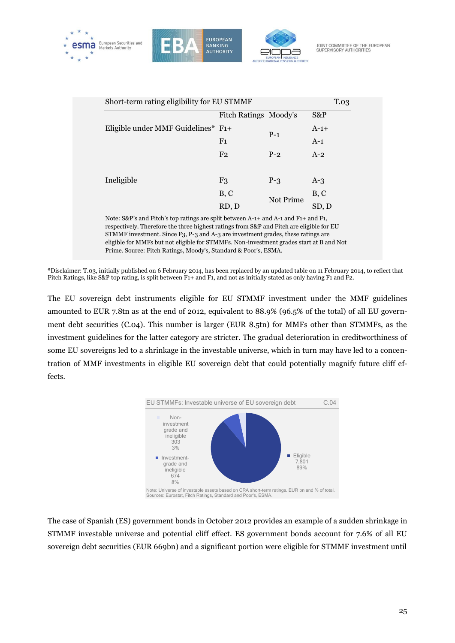





|                                                                                                                                                                                                                                                                    | Fitch Ratings Moody's |           | S&P    |
|--------------------------------------------------------------------------------------------------------------------------------------------------------------------------------------------------------------------------------------------------------------------|-----------------------|-----------|--------|
| Eligible under MMF Guidelines* F1+                                                                                                                                                                                                                                 |                       | $P-1$     | $A-1+$ |
|                                                                                                                                                                                                                                                                    | F <sub>1</sub>        |           | $A-1$  |
|                                                                                                                                                                                                                                                                    | F <sub>2</sub>        | $P-2$     | $A-2$  |
|                                                                                                                                                                                                                                                                    |                       |           |        |
| Ineligible                                                                                                                                                                                                                                                         | F <sub>3</sub>        | $P - 3$   | $A-3$  |
|                                                                                                                                                                                                                                                                    | B, C                  | Not Prime | B, C   |
|                                                                                                                                                                                                                                                                    | RD, D                 |           | SD, D  |
| Note: S&P's and Fitch's top ratings are split between A-1+ and A-1 and F1+ and F1,<br>respectively. Therefore the three highest ratings from S&P and Fitch are eligible for EU<br>STMME investment. Since E2, P-2 and A-2 are investment grades, these ratings are |                       |           |        |

STMMF investment. Since F3, P-3 and A-3 are investment grades, these ratings are eligible for MMFs but not eligible for STMMFs. Non-investment grades start at B and Not Prime. Source: Fitch Ratings, Moody's, Standard & Poor's, ESMA.

\*Disclaimer: T.03, initially published on 6 February 2014, has been replaced by an updated table on 11 February 2014, to reflect that Fitch Ratings, like S&P top rating, is split between F1+ and F1, and not as initially stated as only having F1 and F2.

The EU sovereign debt instruments eligible for EU STMMF investment under the MMF guidelines amounted to EUR 7.8tn as at the end of 2012, equivalent to 88.9% (96.5% of the total) of all EU government debt securities (C.04). This number is larger (EUR 8.5tn) for MMFs other than STMMFs, as the investment guidelines for the latter category are stricter. The gradual deterioration in creditworthiness of some EU sovereigns led to a shrinkage in the investable universe, which in turn may have led to a concentration of MMF investments in eligible EU sovereign debt that could potentially magnify future cliff effects.



The case of Spanish (ES) government bonds in October 2012 provides an example of a sudden shrinkage in STMMF investable universe and potential cliff effect. ES government bonds account for 7.6% of all EU sovereign debt securities (EUR 669bn) and a significant portion were eligible for STMMF investment until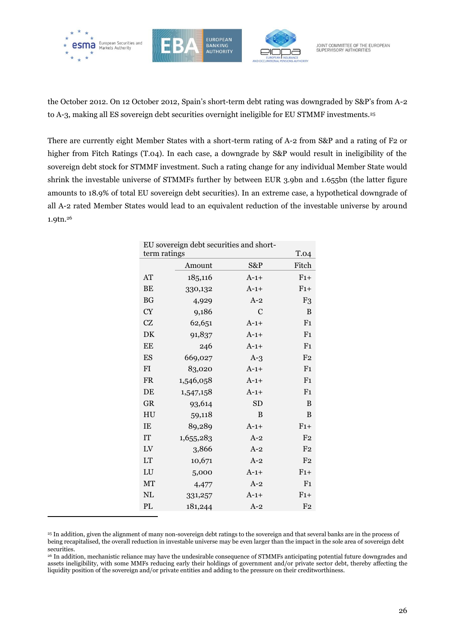

 $\overline{a}$ 





JOINT COMMITTEE OF THE EUROPEAN SUPERVISORY AUTHORITIES

the October 2012. On 12 October 2012, Spain's short-term debt rating was downgraded by S&P's from A-2 to A-3, making all ES sovereign debt securities overnight ineligible for EU STMMF investments.<sup>25</sup>

There are currently eight Member States with a short-term rating of A-2 from S&P and a rating of F2 or higher from Fitch Ratings (T.04). In each case, a downgrade by S&P would result in ineligibility of the sovereign debt stock for STMMF investment. Such a rating change for any individual Member State would shrink the investable universe of STMMFs further by between EUR 3.9bn and 1.655bn (the latter figure amounts to 18.9% of total EU sovereign debt securities). In an extreme case, a hypothetical downgrade of all A-2 rated Member States would lead to an equivalent reduction of the investable universe by around 1.9tn.<sup>26</sup>

| EU sovereign debt securities and short- |           |           |                |  |  |
|-----------------------------------------|-----------|-----------|----------------|--|--|
| <b>T.04</b><br>term ratings             |           |           |                |  |  |
|                                         | Amount    | S&P       | Fitch          |  |  |
| AT                                      | 185,116   | $A-1+$    | $F1+$          |  |  |
| <b>BE</b>                               | 330,132   | $A-1+$    | $F1+$          |  |  |
| <b>BG</b>                               | 4,929     | $A-2$     | F <sub>3</sub> |  |  |
| <b>CY</b>                               | 9,186     | C         | B              |  |  |
| <b>CZ</b>                               | 62,651    | $A-1+$    | F <sub>1</sub> |  |  |
| DK                                      | 91,837    | $A-1+$    | F <sub>1</sub> |  |  |
| EE                                      | 246       | $A-1+$    | F <sub>1</sub> |  |  |
| ES                                      | 669,027   | $A-3$     | F <sub>2</sub> |  |  |
| <b>FI</b>                               | 83,020    | $A-1+$    | F <sub>1</sub> |  |  |
| <b>FR</b>                               | 1,546,058 | $A-1+$    | F <sub>1</sub> |  |  |
| DE                                      | 1,547,158 | $A-1+$    | F <sub>1</sub> |  |  |
| <b>GR</b>                               | 93,614    | <b>SD</b> | B              |  |  |
| HU                                      | 59,118    | B         | B              |  |  |
| IE                                      | 89,289    | $A-1+$    | $F1+$          |  |  |
| <b>IT</b>                               | 1,655,283 | $A-2$     | F <sub>2</sub> |  |  |
| LV                                      | 3,866     | $A-2$     | F <sub>2</sub> |  |  |
| <b>LT</b>                               | 10,671    | $A-2$     | F <sub>2</sub> |  |  |
| LU                                      | 5,000     | $A-1+$    | $F1+$          |  |  |
| MT                                      | 4,477     | $A-2$     | F <sub>1</sub> |  |  |
| <b>NL</b>                               | 331,257   | $A-1+$    | $F1+$          |  |  |
| PL                                      | 181,244   | $A-2$     | F <sub>2</sub> |  |  |

<sup>25</sup> In addition, given the alignment of many non-sovereign debt ratings to the sovereign and that several banks are in the process of being recapitalised, the overall reduction in investable universe may be even larger than the impact in the sole area of sovereign debt securities.

<sup>26</sup> In addition, mechanistic reliance may have the undesirable consequence of STMMFs anticipating potential future downgrades and assets ineligibility, with some MMFs reducing early their holdings of government and/or private sector debt, thereby affecting the liquidity position of the sovereign and/or private entities and adding to the pressure on their creditworthiness.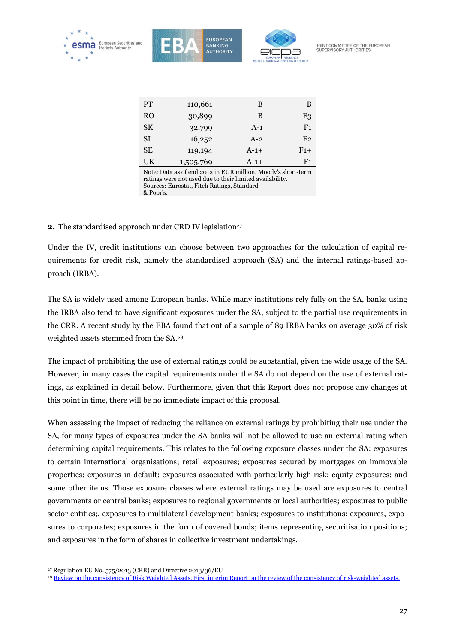

| <b>PT</b>                                                   | 110,661   | В      | B              |  |
|-------------------------------------------------------------|-----------|--------|----------------|--|
| R <sub>O</sub>                                              | 30,899    | В      | F3             |  |
| <b>SK</b>                                                   | 32,799    | $A-1$  | F <sub>1</sub> |  |
| <b>SI</b>                                                   | 16,252    | $A-2$  | F <sub>2</sub> |  |
| <b>SE</b>                                                   | 119,194   | $A-1+$ | $F1+$          |  |
| UK                                                          | 1,505,769 | $A-1+$ | F1             |  |
| Note: Data as of end 2012 in FUR million Moody's short-term |           |        |                |  |

Note: Data as of end 2012 in EUR million. Moody's short-term ratings were not used due to their limited availability. Sources: Eurostat, Fitch Ratings, Standard & Poor's.

#### **2.** The standardised approach under CRD IV legislation<sup>27</sup>

Under the IV, credit institutions can choose between two approaches for the calculation of capital requirements for credit risk, namely the standardised approach (SA) and the internal ratings-based approach (IRBA).

The SA is widely used among European banks. While many institutions rely fully on the SA, banks using the IRBA also tend to have significant exposures under the SA, subject to the partial use requirements in the CRR. A recent study by the EBA found that out of a sample of 89 IRBA banks on average 30% of risk weighted assets stemmed from the SA. 28

The impact of prohibiting the use of external ratings could be substantial, given the wide usage of the SA. However, in many cases the capital requirements under the SA do not depend on the use of external ratings, as explained in detail below. Furthermore, given that this Report does not propose any changes at this point in time, there will be no immediate impact of this proposal.

When assessing the impact of reducing the reliance on external ratings by prohibiting their use under the SA, for many types of exposures under the SA banks will not be allowed to use an external rating when determining capital requirements. This relates to the following exposure classes under the SA: exposures to certain international organisations; retail exposures; exposures secured by mortgages on immovable properties; exposures in default; exposures associated with particularly high risk; equity exposures; and some other items. Those exposure classes where external ratings may be used are exposures to central governments or central banks; exposures to regional governments or local authorities; exposures to public sector entities;, exposures to multilateral development banks; exposures to institutions; exposures, exposures to corporates; exposures in the form of covered bonds; items representing securitisation positions; and exposures in the form of shares in collective investment undertakings.

<sup>27</sup> Regulation EU No. 575/2013 (CRR) and Directive 2013/36/EU

<sup>&</sup>lt;sup>28</sup> [Review on the consistency of Risk Weighted Assets, First interim Report on the review of the consistency of risk-weighted assets.](https://www.eba.europa.eu/risk-analysis-and-data/review-of-consistency-of-risk-weighted-assets)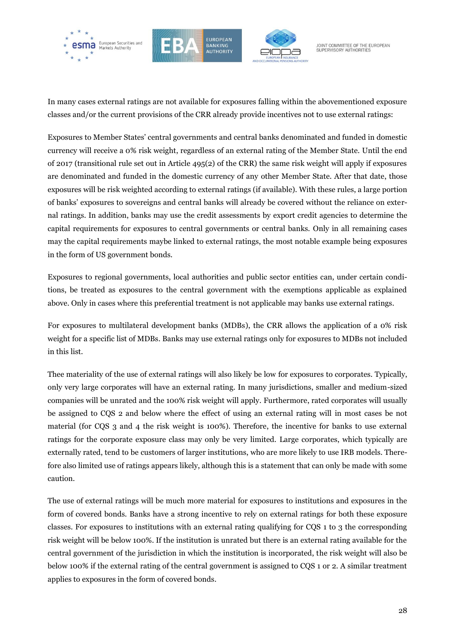





JOINT COMMITTEE OF THE EUROPEAN<br>SUPERVISORY AUTHORITIES

In many cases external ratings are not available for exposures falling within the abovementioned exposure classes and/or the current provisions of the CRR already provide incentives not to use external ratings:

Exposures to Member States' central governments and central banks denominated and funded in domestic currency will receive a 0% risk weight, regardless of an external rating of the Member State. Until the end of 2017 (transitional rule set out in Article 495(2) of the CRR) the same risk weight will apply if exposures are denominated and funded in the domestic currency of any other Member State. After that date, those exposures will be risk weighted according to external ratings (if available). With these rules, a large portion of banks' exposures to sovereigns and central banks will already be covered without the reliance on external ratings. In addition, banks may use the credit assessments by export credit agencies to determine the capital requirements for exposures to central governments or central banks. Only in all remaining cases may the capital requirements maybe linked to external ratings, the most notable example being exposures in the form of US government bonds.

Exposures to regional governments, local authorities and public sector entities can, under certain conditions, be treated as exposures to the central government with the exemptions applicable as explained above. Only in cases where this preferential treatment is not applicable may banks use external ratings.

For exposures to multilateral development banks (MDBs), the CRR allows the application of a 0% risk weight for a specific list of MDBs. Banks may use external ratings only for exposures to MDBs not included in this list.

Thee materiality of the use of external ratings will also likely be low for exposures to corporates. Typically, only very large corporates will have an external rating. In many jurisdictions, smaller and medium-sized companies will be unrated and the 100% risk weight will apply. Furthermore, rated corporates will usually be assigned to CQS 2 and below where the effect of using an external rating will in most cases be not material (for CQS 3 and 4 the risk weight is 100%). Therefore, the incentive for banks to use external ratings for the corporate exposure class may only be very limited. Large corporates, which typically are externally rated, tend to be customers of larger institutions, who are more likely to use IRB models. Therefore also limited use of ratings appears likely, although this is a statement that can only be made with some caution.

The use of external ratings will be much more material for exposures to institutions and exposures in the form of covered bonds. Banks have a strong incentive to rely on external ratings for both these exposure classes. For exposures to institutions with an external rating qualifying for CQS 1 to 3 the corresponding risk weight will be below 100%. If the institution is unrated but there is an external rating available for the central government of the jurisdiction in which the institution is incorporated, the risk weight will also be below 100% if the external rating of the central government is assigned to CQS 1 or 2. A similar treatment applies to exposures in the form of covered bonds.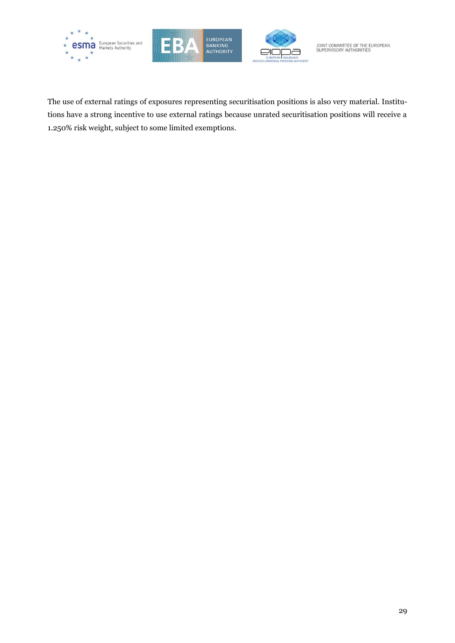





JOINT COMMITTEE OF THE EUROPEAN<br>SUPERVISORY AUTHORITIES

The use of external ratings of exposures representing securitisation positions is also very material. Institutions have a strong incentive to use external ratings because unrated securitisation positions will receive a 1.250% risk weight, subject to some limited exemptions.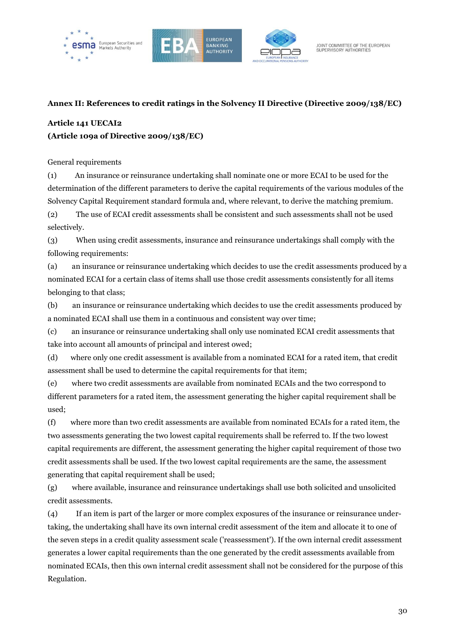





#### <span id="page-29-0"></span>**Annex II: References to credit ratings in the Solvency II Directive (Directive 2009/138/EC)**

## **Article 141 UECAI2 (Article 109a of Directive 2009/138/EC)**

General requirements

(1) An insurance or reinsurance undertaking shall nominate one or more ECAI to be used for the determination of the different parameters to derive the capital requirements of the various modules of the Solvency Capital Requirement standard formula and, where relevant, to derive the matching premium.

(2) The use of ECAI credit assessments shall be consistent and such assessments shall not be used selectively.

(3) When using credit assessments, insurance and reinsurance undertakings shall comply with the following requirements:

(a) an insurance or reinsurance undertaking which decides to use the credit assessments produced by a nominated ECAI for a certain class of items shall use those credit assessments consistently for all items belonging to that class;

(b) an insurance or reinsurance undertaking which decides to use the credit assessments produced by a nominated ECAI shall use them in a continuous and consistent way over time;

(c) an insurance or reinsurance undertaking shall only use nominated ECAI credit assessments that take into account all amounts of principal and interest owed;

(d) where only one credit assessment is available from a nominated ECAI for a rated item, that credit assessment shall be used to determine the capital requirements for that item;

(e) where two credit assessments are available from nominated ECAIs and the two correspond to different parameters for a rated item, the assessment generating the higher capital requirement shall be used;

(f) where more than two credit assessments are available from nominated ECAIs for a rated item, the two assessments generating the two lowest capital requirements shall be referred to. If the two lowest capital requirements are different, the assessment generating the higher capital requirement of those two credit assessments shall be used. If the two lowest capital requirements are the same, the assessment generating that capital requirement shall be used;

(g) where available, insurance and reinsurance undertakings shall use both solicited and unsolicited credit assessments.

(4) If an item is part of the larger or more complex exposures of the insurance or reinsurance undertaking, the undertaking shall have its own internal credit assessment of the item and allocate it to one of the seven steps in a credit quality assessment scale ('reassessment'). If the own internal credit assessment generates a lower capital requirements than the one generated by the credit assessments available from nominated ECAIs, then this own internal credit assessment shall not be considered for the purpose of this Regulation.